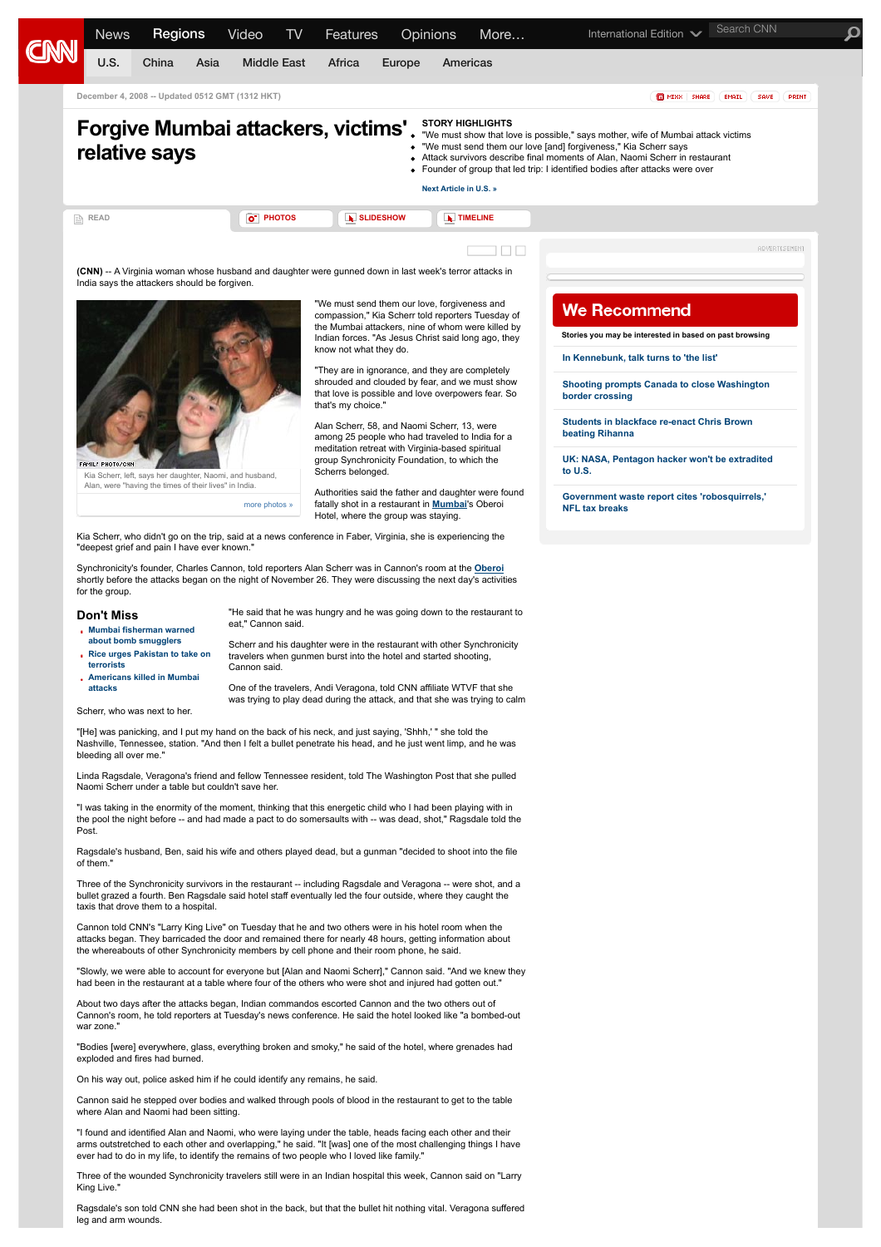

Nashville, Tennessee, station. "And then I felt a bullet penetrate his head, and he just went limp, and he was bleeding all over me.

Linda Ragsdale, Veragona's friend and fellow Tennessee resident, told The Washington Post that she pulled Naomi Scherr under a table but couldn't save her.

"I was taking in the enormity of the moment, thinking that this energetic child who I had been playing with in the pool the night before -- and had made a pact to do somersaults with -- was dead, shot," Ragsdale told the Post.

Ragsdale's husband, Ben, said his wife and others played dead, but a gunman "decided to shoot into the file of them."

Three of the Synchronicity survivors in the restaurant -- including Ragsdale and Veragona -- were shot, and a<br>bullet grazed a fourth. Ben Ragsdale said hotel staff eventually led the four outside, where they caught the taxis that drove them to a hospital.

Cannon told CNN's "Larry King Live" on Tuesday that he and two others were in his hotel room when the attacks began. They barricaded the door and remained there for nearly 48 hours, getting information about the whereabouts of other Synchronicity members by cell phone and their room phone, he said.

"Slowly, we were able to account for everyone but [Alan and Naomi Scherr]," Cannon said. "And we knew they had been in the restaurant at a table where four of the others who were shot and injured had gotten out."

About two days after the attacks began, Indian commandos escorted Cannon and the two others out of Cannon's room, he told reporters at Tuesday's news conference. He said the hotel looked like "a bombed-out war zone."

"Bodies [were] everywhere, glass, everything broken and smoky," he said of the hotel, where grenades had exploded and fires had burned.

On his way out, police asked him if he could identify any remains, he said.

Cannon said he stepped over bodies and walked through pools of blood in the restaurant to get to the table where Alan and Naomi had been sitting.

"I found and identified Alan and Naomi, who were laying under the table, heads facing each other and their arms outstretched to each other and overlapping," he said. "It [was] one of the most challenging things I have ever had to do in my life, to identify the remains of two people who I loved like family.

Three of the wounded Synchronicity travelers still were in an Indian hospital this week, Cannon said on "Larry King Live."

Ragsdale's son told CNN she had been shot in the back, but that the bullet hit nothing vital. Veragona suffered leg and arm wounds